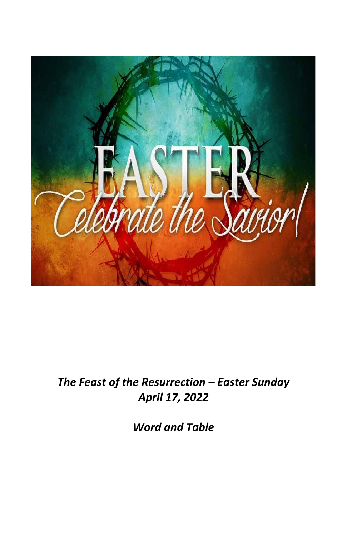

# *The Feast of the Resurrection – Easter Sunday April 17, 2022*

*Word and Table*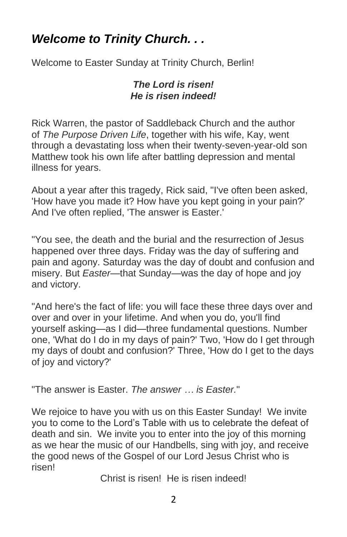## *Welcome to Trinity Church. . .*

Welcome to Easter Sunday at Trinity Church, Berlin!

#### *The Lord is risen! He is risen indeed!*

Rick Warren, the pastor of Saddleback Church and the author of *The Purpose Driven Life*, together with his wife, Kay, went through a devastating loss when their twenty-seven-year-old son Matthew took his own life after battling depression and mental illness for years.

About a year after this tragedy, Rick said, "I've often been asked, 'How have you made it? How have you kept going in your pain?' And I've often replied, 'The answer is Easter.'

"You see, the death and the burial and the resurrection of Jesus happened over three days. Friday was the day of suffering and pain and agony. Saturday was the day of doubt and confusion and misery. But *Easter*—that Sunday—was the day of hope and joy and victory.

"And here's the fact of life: you will face these three days over and over and over in your lifetime. And when you do, you'll find yourself asking—as I did—three fundamental questions. Number one, 'What do I do in my days of pain?' Two, 'How do I get through my days of doubt and confusion?' Three, 'How do I get to the days of joy and victory?'

"The answer is Easter. *The answer … is Easter.*"

We rejoice to have you with us on this Easter Sunday! We invite you to come to the Lord's Table with us to celebrate the defeat of death and sin. We invite you to enter into the joy of this morning as we hear the music of our Handbells, sing with joy, and receive the good news of the Gospel of our Lord Jesus Christ who is risen!

Christ is risen! He is risen indeed!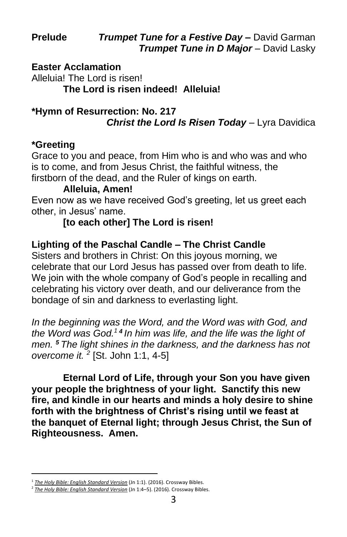**Easter Acclamation** Alleluia! The Lord is risen! **The Lord is risen indeed! Alleluia!**

#### **\*Hymn of Resurrection: No. 217** *Christ the Lord Is Risen Today* – Lyra Davidica

#### **\*Greeting**

Grace to you and peace, from Him who is and who was and who is to come, and from Jesus Christ, the faithful witness, the firstborn of the dead, and the Ruler of kings on earth.

#### **Alleluia, Amen!**

Even now as we have received God's greeting, let us greet each other, in Jesus' name.

#### **[to each other] The Lord is risen!**

#### **Lighting of the Paschal Candle – The Christ Candle**

Sisters and brothers in Christ: On this joyous morning, we celebrate that our Lord Jesus has passed over from death to life. We join with the whole company of God's people in recalling and celebrating his victory over death, and our deliverance from the bondage of sin and darkness to everlasting light.

*In the beginning was the Word, and the Word was with God, and the Word was God.<sup>1</sup> <sup>4</sup> In him was life, and the life was the light of men. <sup>5</sup> The light shines in the darkness, and the darkness has not overcome it. <sup>2</sup>* [St. John 1:1, 4-5]

**Eternal Lord of Life, through your Son you have given your people the brightness of your light. Sanctify this new fire, and kindle in our hearts and minds a holy desire to shine forth with the brightness of Christ's rising until we feast at the banquet of Eternal light; through Jesus Christ, the Sun of Righteousness. Amen.**

<sup>&</sup>lt;sup>1</sup> [The Holy Bible: English Standard Version](https://ref.ly/logosres/esv?ref=BibleESV.Jn1.1&off=24&ctx=Word+Became+Flesh%0a1%C2%A0~a%EF%BB%BFIn+the+beginning+w) (Jn 1:1). (2016). Crossway Bibles.

<sup>2</sup> *[The Holy Bible: English Standard Version](https://ref.ly/logosres/esv?ref=BibleESV.Jn1.4&off=0&ctx=made+that+was+made.+~4%C2%A0f%EF%BB%BFIn+him+was+life%2c)* (Jn 1:4–5). (2016). Crossway Bibles.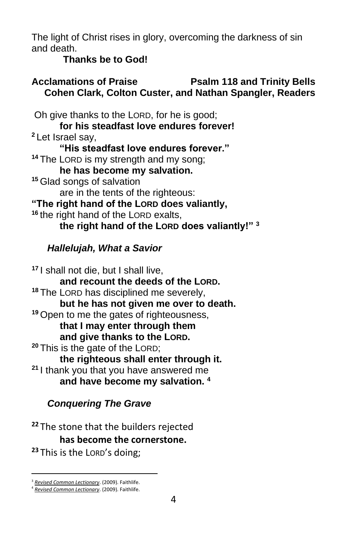The light of Christ rises in glory, overcoming the darkness of sin and death.

**Thanks be to God!**

#### **Acclamations of Praise Psalm 118 and Trinity Bells Cohen Clark, Colton Custer, and Nathan Spangler, Readers**

Oh give thanks to the LORD, for he is good; **for his steadfast love endures forever! <sup>2</sup>** Let Israel say, **"His steadfast love endures forever." <sup>14</sup>** The LORD is my strength and my song; **he has become my salvation. <sup>15</sup>** Glad songs of salvation

are in the tents of the righteous:

**"The right hand of the LORD does valiantly,** 

**<sup>16</sup>** the right hand of the LORD exalts,

**the right hand of the LORD does valiantly!" <sup>3</sup>**

#### *Hallelujah, What a Savior*

**<sup>17</sup>** I shall not die, but I shall live, **and recount the deeds of the LORD. <sup>18</sup>** The LORD has disciplined me severely, **but he has not given me over to death. <sup>19</sup>** Open to me the gates of righteousness, **that I may enter through them and give thanks to the LORD. <sup>20</sup>** This is the gate of the LORD; **the righteous shall enter through it. <sup>21</sup>** I thank you that you have answered me **and have become my salvation. <sup>4</sup>**

### *Conquering The Grave*

**<sup>22</sup>** The stone that the builders rejected **has become the cornerstone. <sup>23</sup>** This is the LORD's doing;

<sup>3</sup> *[Revised Common Lectionary](https://ref.ly/logosres/rcl?ref=YearMonthDay.4-17-2022&off=419&ctx=salm+118:1%E2%80%932%2c+14%E2%80%9324%0a~+%0a+%0aNEW+TESTAMENT%0aOp)*. (2009). Faithlife.

<sup>4</sup> *[Revised Common Lectionary](https://ref.ly/logosres/rcl?ref=YearMonthDay.4-17-2022&off=421&ctx=lm+118:1%E2%80%932%2c+14%E2%80%9324%0a+%0a~+%0aNEW+TESTAMENT%0aOpti)*. (2009). Faithlife.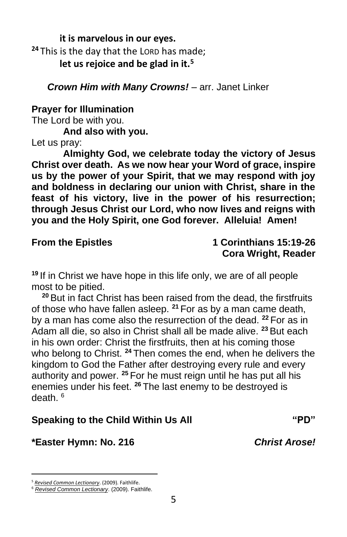**it is marvelous in our eyes. <sup>24</sup>** This is the day that the LORD has made; **let us rejoice and be glad in it.<sup>5</sup>**

*Crown Him with Many Crowns!* – arr. Janet Linker

#### **Prayer for Illumination**

The Lord be with you.

**And also with you.**

Let us pray:

**Almighty God, we celebrate today the victory of Jesus Christ over death. As we now hear your Word of grace, inspire us by the power of your Spirit, that we may respond with joy and boldness in declaring our union with Christ, share in the feast of his victory, live in the power of his resurrection; through Jesus Christ our Lord, who now lives and reigns with you and the Holy Spirit, one God forever. Alleluia! Amen!**

#### **From the Epistles 1 Corinthians 15:19-26 Cora Wright, Reader**

**<sup>19</sup>** If in Christ we have hope in this life only, we are of all people most to be pitied.

**<sup>20</sup>** But in fact Christ has been raised from the dead, the firstfruits of those who have fallen asleep. **<sup>21</sup>** For as by a man came death, by a man has come also the resurrection of the dead. **<sup>22</sup>** For as in Adam all die, so also in Christ shall all be made alive. **<sup>23</sup>** But each in his own order: Christ the firstfruits, then at his coming those who belong to Christ. **<sup>24</sup>** Then comes the end, when he delivers the kingdom to God the Father after destroying every rule and every authority and power. **<sup>25</sup>** For he must reign until he has put all his enemies under his feet. **<sup>26</sup>** The last enemy to be destroyed is death. <sup>6</sup>

#### **Speaking to the Child Within Us All "PD"**

#### **\*Easter Hymn: No. 216** *Christ Arose!*

<sup>5</sup> *[Revised Common Lectionary](https://ref.ly/logosres/rcl?ref=YearMonthDay.4-17-2022&off=421&ctx=lm+118:1%E2%80%932%2c+14%E2%80%9324%0a+%0a~+%0aNEW+TESTAMENT%0aOpti)*. (2009). Faithlife.

<sup>6</sup> *[Revised Common Lectionary](https://ref.ly/logosres/rcl?ref=YearMonthDay.4-17-2022&off=469&ctx=orinthians+15:19%E2%80%9326%0a~+%0aOR%0aOption+B%0aActs+1)*. (2009). Faithlife.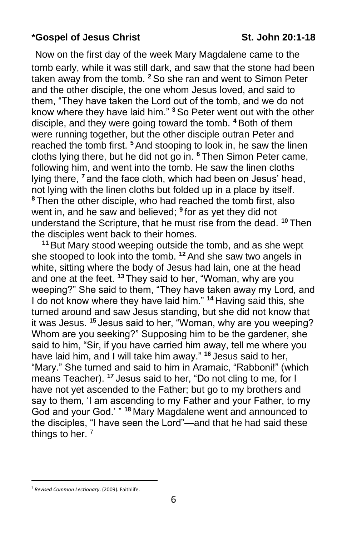#### **\*Gospel of Jesus Christ St. John 20:1-18**

Now on the first day of the week Mary Magdalene came to the tomb early, while it was still dark, and saw that the stone had been taken away from the tomb. **<sup>2</sup>** So she ran and went to Simon Peter and the other disciple, the one whom Jesus loved, and said to them, "They have taken the Lord out of the tomb, and we do not know where they have laid him." **<sup>3</sup>** So Peter went out with the other disciple, and they were going toward the tomb. **<sup>4</sup>** Both of them were running together, but the other disciple outran Peter and reached the tomb first. **<sup>5</sup>**And stooping to look in, he saw the linen cloths lying there, but he did not go in. **<sup>6</sup>** Then Simon Peter came, following him, and went into the tomb. He saw the linen cloths lying there, <sup>7</sup> and the face cloth, which had been on Jesus' head, not lying with the linen cloths but folded up in a place by itself. **<sup>8</sup>** Then the other disciple, who had reached the tomb first, also went in, and he saw and believed; **<sup>9</sup>** for as yet they did not understand the Scripture, that he must rise from the dead. **<sup>10</sup>** Then the disciples went back to their homes.

**<sup>11</sup>** But Mary stood weeping outside the tomb, and as she wept she stooped to look into the tomb. **<sup>12</sup>** And she saw two angels in white, sitting where the body of Jesus had lain, one at the head and one at the feet. **<sup>13</sup>** They said to her, "Woman, why are you weeping?" She said to them, "They have taken away my Lord, and I do not know where they have laid him." **<sup>14</sup>** Having said this, she turned around and saw Jesus standing, but she did not know that it was Jesus. **<sup>15</sup>** Jesus said to her, "Woman, why are you weeping? Whom are you seeking?" Supposing him to be the gardener, she said to him, "Sir, if you have carried him away, tell me where you have laid him, and I will take him away." **<sup>16</sup>** Jesus said to her, "Mary." She turned and said to him in Aramaic, "Rabboni!" (which means Teacher). **<sup>17</sup>** Jesus said to her, "Do not cling to me, for I have not yet ascended to the Father; but go to my brothers and say to them, 'I am ascending to my Father and your Father, to my God and your God.' " **<sup>18</sup>** Mary Magdalene went and announced to the disciples, "I have seen the Lord"—and that he had said these things to her.<sup>7</sup>

<sup>7</sup> *[Revised Common Lectionary](https://ref.ly/logosres/rcl?ref=YearMonthDay.4-17-2022&off=528&ctx=tion+A%0aJohn+20:1%E2%80%9318%0a~+%0aOR%0aOption+B%0aLuke+2)*. (2009). Faithlife.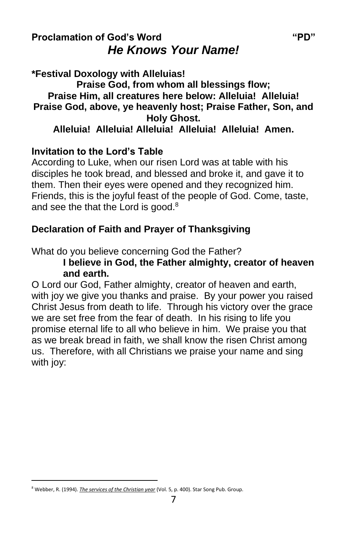#### **Proclamation of God's Word "PD"** *He Knows Your Name!*

**\*Festival Doxology with Alleluias! Praise God, from whom all blessings flow; Praise Him, all creatures here below: Alleluia! Alleluia! Praise God, above, ye heavenly host; Praise Father, Son, and Holy Ghost. Alleluia! Alleluia! Alleluia! Alleluia! Alleluia! Amen.**

#### **Invitation to the Lord's Table**

According to Luke, when our risen Lord was at table with his disciples he took bread, and blessed and broke it, and gave it to them. Then their eyes were opened and they recognized him. Friends, this is the joyful feast of the people of God. Come, taste, and see the that the Lord is good.<sup>8</sup>

#### **Declaration of Faith and Prayer of Thanksgiving**

What do you believe concerning God the Father?

#### **I believe in God, the Father almighty, creator of heaven and earth.**

O Lord our God, Father almighty, creator of heaven and earth, with joy we give you thanks and praise. By your power you raised Christ Jesus from death to life. Through his victory over the grace we are set free from the fear of death. In his rising to life you promise eternal life to all who believe in him. We praise you that as we break bread in faith, we shall know the risen Christ among us. Therefore, with all Christians we praise your name and sing with joy:

<sup>8</sup> Webber, R. (1994). *[The services of the Christian year](https://ref.ly/logosres/lbwrshp5?ref=Page.p+400&off=1720&ctx=ENT%0aPreface%0aLeader:+~According+to+Luke%2c+w)* (Vol. 5, p. 400). Star Song Pub. Group.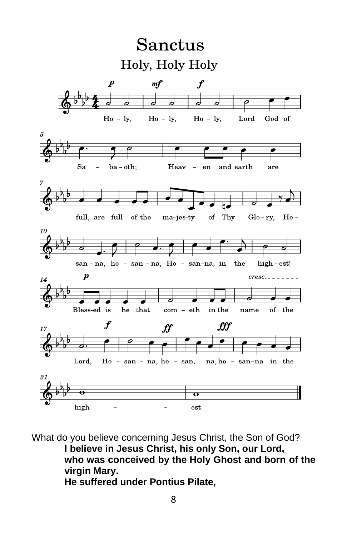

What do you believe concerning Jesus Christ, the Son of God? **I believe in Jesus Christ, his only Son, our Lord, who was conceived by the Holy Ghost and born of the virgin Mary. He suffered under Pontius Pilate,**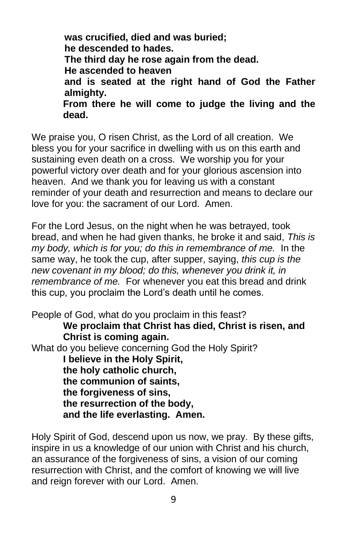**was crucified, died and was buried; he descended to hades. The third day he rose again from the dead. He ascended to heaven and is seated at the right hand of God the Father almighty. From there he will come to judge the living and the dead.**

We praise you, O risen Christ, as the Lord of all creation. We bless you for your sacrifice in dwelling with us on this earth and sustaining even death on a cross. We worship you for your powerful victory over death and for your glorious ascension into heaven. And we thank you for leaving us with a constant reminder of your death and resurrection and means to declare our love for you: the sacrament of our Lord. Amen.

For the Lord Jesus, on the night when he was betrayed, took bread, and when he had given thanks, he broke it and said, *This is my body, which is for you; do this in remembrance of me.* In the same way, he took the cup, after supper, saying, *this cup is the new covenant in my blood; do this, whenever you drink it, in remembrance of me.* For whenever you eat this bread and drink this cup, you proclaim the Lord's death until he comes.

People of God, what do you proclaim in this feast? **We proclaim that Christ has died, Christ is risen, and Christ is coming again.** What do you believe concerning God the Holy Spirit? **I believe in the Holy Spirit, the holy catholic church, the communion of saints, the forgiveness of sins, the resurrection of the body, and the life everlasting. Amen.**

Holy Spirit of God, descend upon us now, we pray. By these gifts, inspire in us a knowledge of our union with Christ and his church, an assurance of the forgiveness of sins, a vision of our coming resurrection with Christ, and the comfort of knowing we will live and reign forever with our Lord. Amen.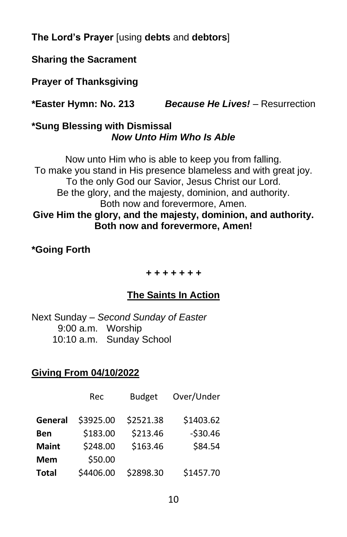**The Lord's Prayer** [using **debts** and **debtors**]

#### **Sharing the Sacrament**

#### **Prayer of Thanksgiving**

**\*Easter Hymn: No. 213** *Because He Lives!* – Resurrection

#### **\*Sung Blessing with Dismissal** *Now Unto Him Who Is Able*

Now unto Him who is able to keep you from falling. To make you stand in His presence blameless and with great joy. To the only God our Savior, Jesus Christ our Lord. Be the glory, and the majesty, dominion, and authority. Both now and forevermore, Amen. **Give Him the glory, and the majesty, dominion, and authority. Both now and forevermore, Amen!**

#### **\*Going Forth**

#### *+ + + + + + +*

#### **The Saints In Action**

Next Sunday – *Second Sunday of Easter* 9:00 a.m. Worship 10:10 a.m. Sunday School

#### **Giving From 04/10/2022**

|              | Rec       | <b>Budget</b> | Over/Under |
|--------------|-----------|---------------|------------|
| General      | \$3925.00 | \$2521.38     | \$1403.62  |
| <b>Ben</b>   | \$183.00  | \$213.46      | $-530.46$  |
| <b>Maint</b> | \$248.00  | \$163.46      | \$84.54    |
| <b>Mem</b>   | \$50.00   |               |            |
| <b>Total</b> | \$4406.00 | \$2898.30     | \$1457.70  |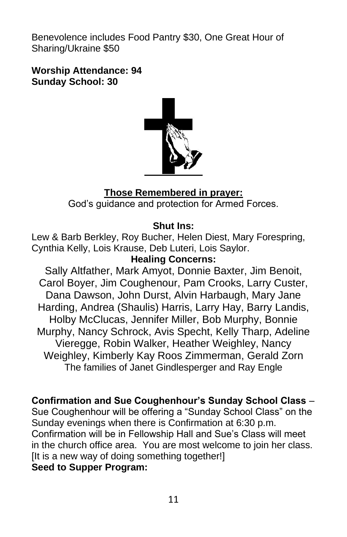Benevolence includes Food Pantry \$30, One Great Hour of Sharing/Ukraine \$50

**Worship Attendance: 94 Sunday School: 30**



#### **Those Remembered in prayer:**

God's guidance and protection for Armed Forces.

#### **Shut Ins:**

Lew & Barb Berkley, Roy Bucher, Helen Diest, Mary Forespring, Cynthia Kelly, Lois Krause, Deb Luteri, Lois Saylor.

#### **Healing Concerns:**

Sally Altfather, Mark Amyot, Donnie Baxter, Jim Benoit, Carol Boyer, Jim Coughenour, Pam Crooks, Larry Custer, Dana Dawson, John Durst, Alvin Harbaugh, Mary Jane Harding, Andrea (Shaulis) Harris, Larry Hay, Barry Landis, Holby McClucas, Jennifer Miller, Bob Murphy, Bonnie Murphy, Nancy Schrock, Avis Specht, Kelly Tharp, Adeline Vieregge, Robin Walker, Heather Weighley, Nancy Weighley, Kimberly Kay Roos Zimmerman, Gerald Zorn The families of Janet Gindlesperger and Ray Engle

**Confirmation and Sue Coughenhour's Sunday School Class** –

Sue Coughenhour will be offering a "Sunday School Class" on the Sunday evenings when there is Confirmation at 6:30 p.m. Confirmation will be in Fellowship Hall and Sue's Class will meet in the church office area. You are most welcome to join her class. [It is a new way of doing something together!]

**Seed to Supper Program:**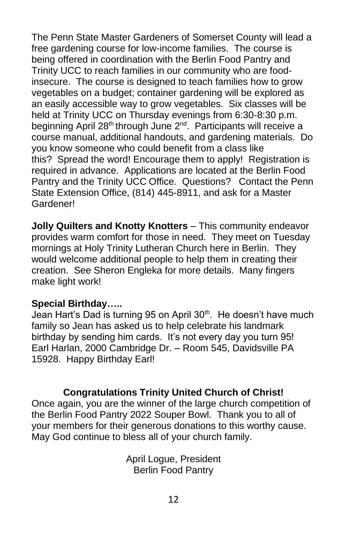The Penn State Master Gardeners of Somerset County will lead a free gardening course for low-income families. The course is being offered in coordination with the Berlin Food Pantry and Trinity UCC to reach families in our community who are foodinsecure. The course is designed to teach families how to grow vegetables on a budget; container gardening will be explored as an easily accessible way to grow vegetables. Six classes will be held at Trinity UCC on Thursday evenings from 6:30-8:30 p.m. beginning April 28<sup>th</sup> through June 2<sup>nd</sup>. Participants will receive a course manual, additional handouts, and gardening materials. Do you know someone who could benefit from a class like this? Spread the word! Encourage them to apply! Registration is required in advance. Applications are located at the Berlin Food Pantry and the Trinity UCC Office. Questions? Contact the Penn State Extension Office, (814) 445-8911, and ask for a Master Gardener!

**Jolly Quilters and Knotty Knotters** – This community endeavor provides warm comfort for those in need. They meet on Tuesday mornings at Holy Trinity Lutheran Church here in Berlin. They would welcome additional people to help them in creating their creation. See Sheron Engleka for more details. Many fingers make light work!

#### **Special Birthday…..**

Jean Hart's Dad is turning 95 on April 30<sup>th</sup>. He doesn't have much family so Jean has asked us to help celebrate his landmark birthday by sending him cards. It's not every day you turn 95! Earl Harlan, 2000 Cambridge Dr. – Room 545, Davidsville PA 15928. Happy Birthday Earl!

#### **Congratulations Trinity United Church of Christ!**

Once again, you are the winner of the large church competition of the Berlin Food Pantry 2022 Souper Bowl. Thank you to all of your members for their generous donations to this worthy cause. May God continue to bless all of your church family.

> April Logue, President Berlin Food Pantry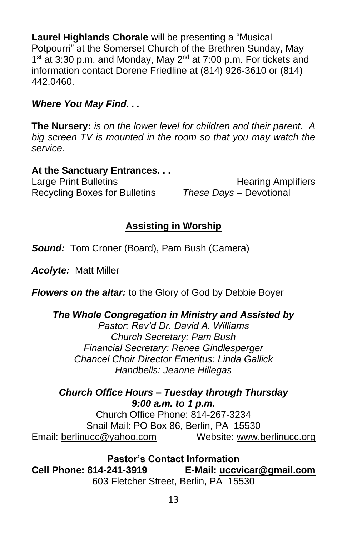**Laurel Highlands Chorale** will be presenting a "Musical Potpourri" at the Somerset Church of the Brethren Sunday, May  $1<sup>st</sup>$  at 3:30 p.m. and Monday, May  $2<sup>nd</sup>$  at 7:00 p.m. For tickets and information contact Dorene Friedline at (814) 926-3610 or (814) 442.0460.

#### *Where You May Find. . .*

**The Nursery:** *is on the lower level for children and their parent. A big screen TV is mounted in the room so that you may watch the service.*

**At the Sanctuary Entrances. . .** Large Print Bulletins **Example 20** Hearing Amplifiers Recycling Boxes for Bulletins *These Days –* Devotional

#### **Assisting in Worship**

*Sound:* Tom Croner (Board), Pam Bush (Camera)

*Acolyte:* Matt Miller

*Flowers on the altar:* to the Glory of God by Debbie Boyer

*The Whole Congregation in Ministry and Assisted by*

*Pastor: Rev'd Dr. David A. Williams Church Secretary: Pam Bush Financial Secretary: Renee Gindlesperger Chancel Choir Director Emeritus: Linda Gallick Handbells: Jeanne Hillegas*

*Church Office Hours – Tuesday through Thursday 9:00 a.m. to 1 p.m.*

Church Office Phone: 814-267-3234 Snail Mail: PO Box 86, Berlin, PA 15530 Email: [berlinucc@yahoo.com](mailto:berlinucc@yahoo.com) Website: [www.berlinucc.org](http://www.berlinucc.org/)

**Pastor's Contact Information Cell Phone: 814-241-3919 E-Mail: [uccvicar@gmail.com](mailto:uccvicar@gmail.com)** 603 Fletcher Street, Berlin, PA 15530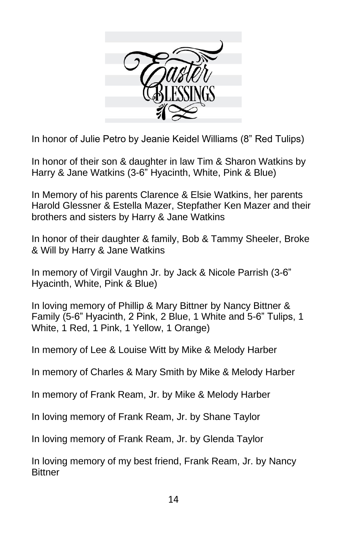

In honor of Julie Petro by Jeanie Keidel Williams (8" Red Tulips)

In honor of their son & daughter in law Tim & Sharon Watkins by Harry & Jane Watkins (3-6" Hyacinth, White, Pink & Blue)

In Memory of his parents Clarence & Elsie Watkins, her parents Harold Glessner & Estella Mazer, Stepfather Ken Mazer and their brothers and sisters by Harry & Jane Watkins

In honor of their daughter & family, Bob & Tammy Sheeler, Broke & Will by Harry & Jane Watkins

In memory of Virgil Vaughn Jr. by Jack & Nicole Parrish (3-6" Hyacinth, White, Pink & Blue)

In loving memory of Phillip & Mary Bittner by Nancy Bittner & Family (5-6" Hyacinth, 2 Pink, 2 Blue, 1 White and 5-6" Tulips, 1 White, 1 Red, 1 Pink, 1 Yellow, 1 Orange)

In memory of Lee & Louise Witt by Mike & Melody Harber

In memory of Charles & Mary Smith by Mike & Melody Harber

In memory of Frank Ream, Jr. by Mike & Melody Harber

In loving memory of Frank Ream, Jr. by Shane Taylor

In loving memory of Frank Ream, Jr. by Glenda Taylor

In loving memory of my best friend, Frank Ream, Jr. by Nancy **Bittner**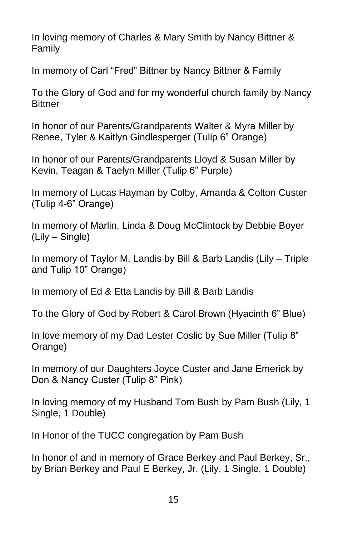In loving memory of Charles & Mary Smith by Nancy Bittner & Family

In memory of Carl "Fred" Bittner by Nancy Bittner & Family

To the Glory of God and for my wonderful church family by Nancy **Bittner** 

In honor of our Parents/Grandparents Walter & Myra Miller by Renee, Tyler & Kaitlyn Gindlesperger (Tulip 6" Orange)

In honor of our Parents/Grandparents Lloyd & Susan Miller by Kevin, Teagan & Taelyn Miller (Tulip 6" Purple)

In memory of Lucas Hayman by Colby, Amanda & Colton Custer (Tulip 4-6" Orange)

In memory of Marlin, Linda & Doug McClintock by Debbie Boyer (Lily – Single)

In memory of Taylor M. Landis by Bill & Barb Landis (Lily – Triple and Tulip 10" Orange)

In memory of Ed & Etta Landis by Bill & Barb Landis

To the Glory of God by Robert & Carol Brown (Hyacinth 6" Blue)

In love memory of my Dad Lester Coslic by Sue Miller (Tulip 8" Orange)

In memory of our Daughters Joyce Custer and Jane Emerick by Don & Nancy Custer (Tulip 8" Pink)

In loving memory of my Husband Tom Bush by Pam Bush (Lily, 1 Single, 1 Double)

In Honor of the TUCC congregation by Pam Bush

In honor of and in memory of Grace Berkey and Paul Berkey, Sr., by Brian Berkey and Paul E Berkey, Jr. (Lily, 1 Single, 1 Double)